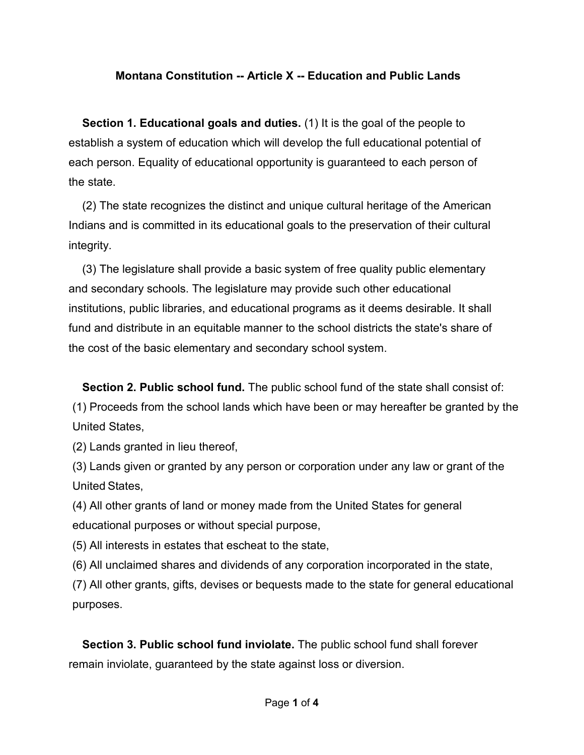## **Montana Constitution -- Article X -- Education and Public Lands**

**Section 1. Educational goals and duties.** (1) It is the goal of the people to establish a system of education which will develop the full educational potential of each person. Equality of educational opportunity is guaranteed to each person of the state.

(2) The state recognizes the distinct and unique cultural heritage of the American Indians and is committed in its educational goals to the preservation of their cultural integrity.

(3) The legislature shall provide a basic system of free quality public elementary and secondary schools. The legislature may provide such other educational institutions, public libraries, and educational programs as it deems desirable. It shall fund and distribute in an equitable manner to the school districts the state's share of the cost of the basic elementary and secondary school system.

**Section 2. Public school fund.** The public school fund of the state shall consist of: (1) Proceeds from the school lands which have been or may hereafter be granted by the United States,

(2) Lands granted in lieu thereof,

(3) Lands given or granted by any person or corporation under any law or grant of the United States,

(4) All other grants of land or money made from the United States for general educational purposes or without special purpose,

(5) All interests in estates that escheat to the state,

(6) All unclaimed shares and dividends of any corporation incorporated in the state,

(7) All other grants, gifts, devises or bequests made to the state for general educational purposes.

**Section 3. Public school fund inviolate.** The public school fund shall forever remain inviolate, guaranteed by the state against loss or diversion.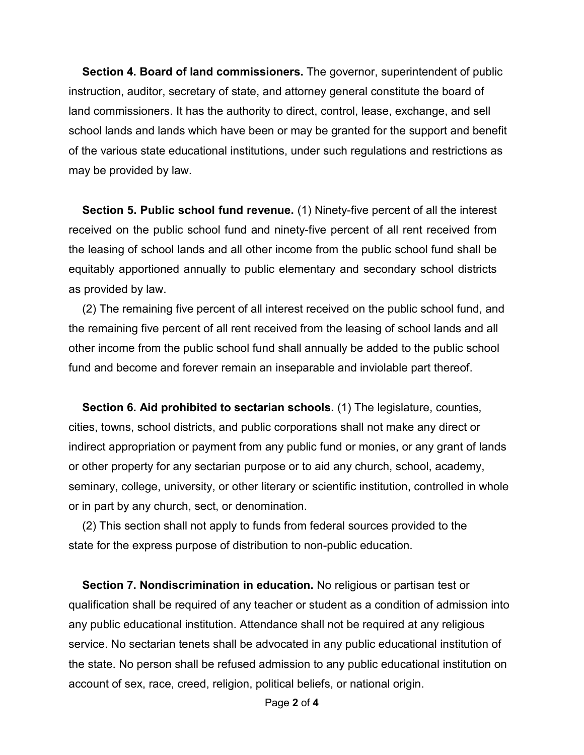**Section 4. Board of land commissioners.** The governor, superintendent of public instruction, auditor, secretary of state, and attorney general constitute the board of land commissioners. It has the authority to direct, control, lease, exchange, and sell school lands and lands which have been or may be granted for the support and benefit of the various state educational institutions, under such regulations and restrictions as may be provided by law.

**Section 5. Public school fund revenue.** (1) Ninety-five percent of all the interest received on the public school fund and ninety-five percent of all rent received from the leasing of school lands and all other income from the public school fund shall be equitably apportioned annually to public elementary and secondary school districts as provided by law.

(2) The remaining five percent of all interest received on the public school fund, and the remaining five percent of all rent received from the leasing of school lands and all other income from the public school fund shall annually be added to the public school fund and become and forever remain an inseparable and inviolable part thereof.

**Section 6. Aid prohibited to sectarian schools.** (1) The legislature, counties, cities, towns, school districts, and public corporations shall not make any direct or indirect appropriation or payment from any public fund or monies, or any grant of lands or other property for any sectarian purpose or to aid any church, school, academy, seminary, college, university, or other literary or scientific institution, controlled in whole or in part by any church, sect, or denomination.

(2) This section shall not apply to funds from federal sources provided to the state for the express purpose of distribution to non-public education.

**Section 7. Nondiscrimination in education.** No religious or partisan test or qualification shall be required of any teacher or student as a condition of admission into any public educational institution. Attendance shall not be required at any religious service. No sectarian tenets shall be advocated in any public educational institution of the state. No person shall be refused admission to any public educational institution on account of sex, race, creed, religion, political beliefs, or national origin.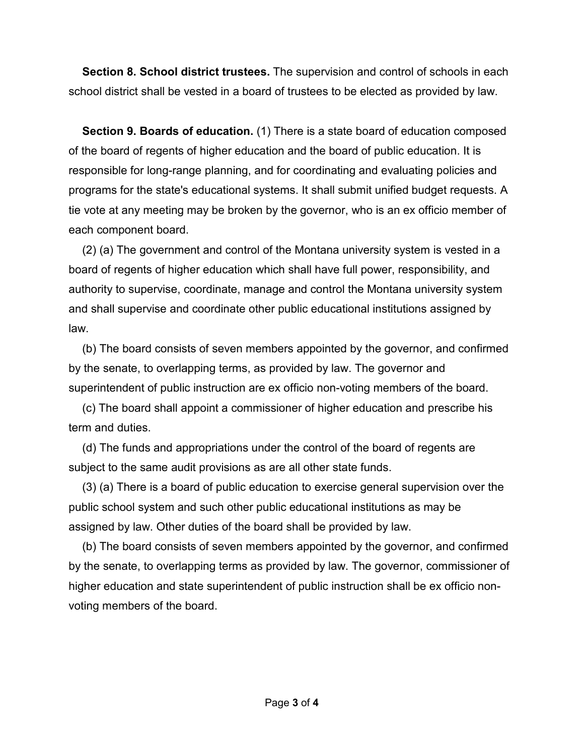**Section 8. School district trustees.** The supervision and control of schools in each school district shall be vested in a board of trustees to be elected as provided by law.

**Section 9. Boards of education.** (1) There is a state board of education composed of the board of regents of higher education and the board of public education. It is responsible for long-range planning, and for coordinating and evaluating policies and programs for the state's educational systems. It shall submit unified budget requests. A tie vote at any meeting may be broken by the governor, who is an ex officio member of each component board.

(2) (a) The government and control of the Montana university system is vested in a board of regents of higher education which shall have full power, responsibility, and authority to supervise, coordinate, manage and control the Montana university system and shall supervise and coordinate other public educational institutions assigned by law.

(b) The board consists of seven members appointed by the governor, and confirmed by the senate, to overlapping terms, as provided by law. The governor and superintendent of public instruction are ex officio non-voting members of the board.

(c) The board shall appoint a commissioner of higher education and prescribe his term and duties.

(d) The funds and appropriations under the control of the board of regents are subject to the same audit provisions as are all other state funds.

(3) (a) There is a board of public education to exercise general supervision over the public school system and such other public educational institutions as may be assigned by law. Other duties of the board shall be provided by law.

(b) The board consists of seven members appointed by the governor, and confirmed by the senate, to overlapping terms as provided by law. The governor, commissioner of higher education and state superintendent of public instruction shall be ex officio nonvoting members of the board.